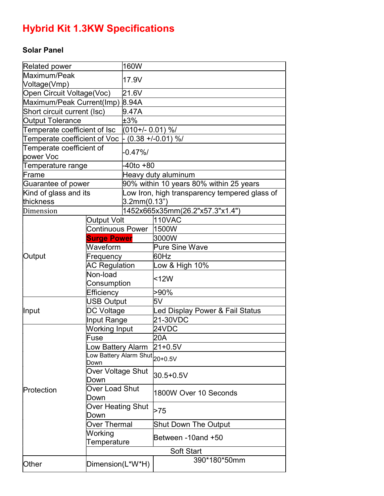## Hybrid Kit 1.3KW Specifications

## Solar Panel

| <b>Related power</b>         |                                                                 | 160W                                          |                                 |
|------------------------------|-----------------------------------------------------------------|-----------------------------------------------|---------------------------------|
| Maximum/Peak                 |                                                                 | 17.9V                                         |                                 |
| Voltage(Vmp)                 |                                                                 |                                               |                                 |
| Open Circuit Voltage(Voc)    |                                                                 | 21.6V                                         |                                 |
| Maximum/Peak Current(Imp)    |                                                                 | 8.94A                                         |                                 |
| Short circuit current (Isc)  |                                                                 | 9.47A                                         |                                 |
| <b>Output Tolerance</b>      |                                                                 | ±3%                                           |                                 |
| Temperate coefficient of Isc |                                                                 | $(010+/- 0.01)$ %/                            |                                 |
| Temperate coefficient of Voc |                                                                 | - (0.38 +/-0.01) %/                           |                                 |
| Temperate coefficient of     |                                                                 | $-0.47\%$                                     |                                 |
| power Voc                    |                                                                 |                                               |                                 |
| Temperature range            |                                                                 | -40to +80                                     |                                 |
| lFrame                       |                                                                 | Heavy duty aluminum                           |                                 |
| Guarantee of power           |                                                                 | 90% within 10 years 80% within 25 years       |                                 |
| Kind of glass and its        |                                                                 | Low Iron, high transparency tempered glass of |                                 |
| thickness                    |                                                                 | 3.2mm(0.13")                                  |                                 |
| Dimension                    |                                                                 |                                               | 1452x665x35mm(26.2"x57.3"x1.4") |
| Output                       | <b>Output Volt</b>                                              |                                               | <b>110VAC</b>                   |
|                              | <b>Continuous Power</b>                                         |                                               | 1500W                           |
|                              | <b>Surge Power</b>                                              |                                               | 3000W                           |
|                              | Waveform                                                        |                                               | <b>Pure Sine Wave</b>           |
|                              | Frequency                                                       |                                               | l60Hz                           |
|                              | <b>AC Regulation</b>                                            |                                               | Low & High 10%                  |
|                              | Non-load                                                        |                                               | <12W                            |
|                              | Consumption                                                     |                                               |                                 |
|                              | Efficiency                                                      |                                               | >90%                            |
| Input                        | <b>USB Output</b>                                               |                                               | 5V                              |
|                              | DC Voltage                                                      |                                               | Led Display Power & Fail Status |
|                              | Input Range                                                     |                                               | 21-30VDC                        |
| Protection                   | Working Input                                                   |                                               | 24VDC                           |
|                              | Fuse                                                            |                                               | 20A                             |
|                              | ow Battery Alarm.                                               |                                               | $21 + 0.5V$                     |
|                              | --<br>.ow Battery Alarm Shut $\big _{20+0.5\mathrm{V}}$<br>Down |                                               |                                 |
|                              | Over Voltage Shut                                               |                                               | 30.5+0.5V                       |
|                              | Down                                                            |                                               |                                 |
|                              | Over Load Shut                                                  |                                               | 1800W Over 10 Seconds           |
|                              | Down                                                            |                                               |                                 |
|                              | Over Heating Shut                                               |                                               | >75                             |
|                              | Down                                                            |                                               |                                 |
|                              | Over Thermal                                                    |                                               | Shut Down The Output            |
|                              | Working                                                         |                                               | Between -10and +50              |
|                              | Temperature                                                     |                                               |                                 |
|                              |                                                                 |                                               | <b>Soft Start</b>               |
| <b>Other</b>                 | Dimension(L*W*H)                                                |                                               | 390*180*50mm                    |